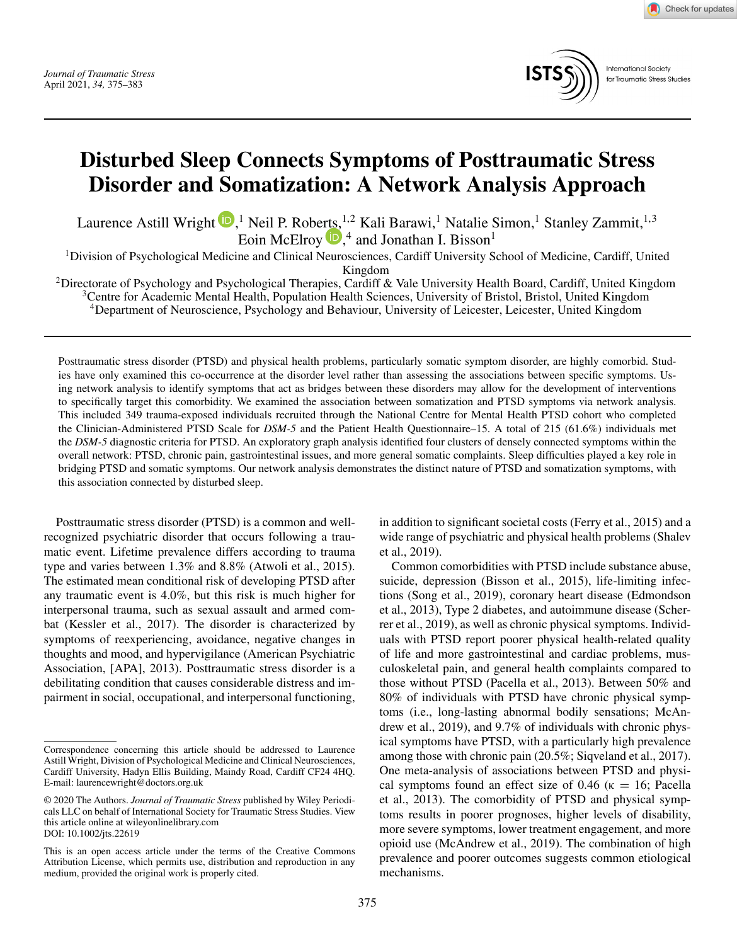

International Society for Traumatic Stress Studies

# **Disturbed Sleep Connects Symptoms of Posttraumatic Stress Disorder and Somatization: A Network Analysis Approach**

Laurence Astill Wright  $\mathbb{D}$ [,](https://orcid.org/0000-0001-8324-1229)<sup>1</sup> Neil P. Robe[rts,](https://orcid.org/0000-0001-5466-8522)<sup>1,2</sup> Kali Barawi,<sup>1</sup> Natalie Simon,<sup>1</sup> Stanley Zammit,<sup>1,3</sup> Eoin McElroy  $\mathbf{D}$ ,<sup>4</sup> and Jonathan I. Bisson<sup>1</sup>

<sup>1</sup>Division of Psychological Medicine and Clinical Neurosciences, Cardiff University School of Medicine, Cardiff, United Kingdom

<sup>2</sup>Directorate of Psychology and Psychological Therapies, Cardiff & Vale University Health Board, Cardiff, United Kingdom <sup>3</sup>Centre for Academic Mental Health, Population Health Sciences, University of Bristol, Bristol, United Kingdom <sup>4</sup>Department of Neuroscience, Psychology and Behaviour, University of Leicester, Leicester, United Kingdom

Posttraumatic stress disorder (PTSD) and physical health problems, particularly somatic symptom disorder, are highly comorbid. Studies have only examined this co-occurrence at the disorder level rather than assessing the associations between specific symptoms. Using network analysis to identify symptoms that act as bridges between these disorders may allow for the development of interventions to specifically target this comorbidity. We examined the association between somatization and PTSD symptoms via network analysis. This included 349 trauma-exposed individuals recruited through the National Centre for Mental Health PTSD cohort who completed the Clinician-Administered PTSD Scale for *DSM-5* and the Patient Health Questionnaire–15. A total of 215 (61.6%) individuals met the *DSM-5* diagnostic criteria for PTSD. An exploratory graph analysis identified four clusters of densely connected symptoms within the overall network: PTSD, chronic pain, gastrointestinal issues, and more general somatic complaints. Sleep difficulties played a key role in bridging PTSD and somatic symptoms. Our network analysis demonstrates the distinct nature of PTSD and somatization symptoms, with this association connected by disturbed sleep.

Posttraumatic stress disorder (PTSD) is a common and wellrecognized psychiatric disorder that occurs following a traumatic event. Lifetime prevalence differs according to trauma type and varies between 1.3% and 8.8% (Atwoli et al., 2015). The estimated mean conditional risk of developing PTSD after any traumatic event is 4.0%, but this risk is much higher for interpersonal trauma, such as sexual assault and armed combat (Kessler et al., 2017). The disorder is characterized by symptoms of reexperiencing, avoidance, negative changes in thoughts and mood, and hypervigilance (American Psychiatric Association, [APA], 2013). Posttraumatic stress disorder is a debilitating condition that causes considerable distress and impairment in social, occupational, and interpersonal functioning,

in addition to significant societal costs (Ferry et al., 2015) and a wide range of psychiatric and physical health problems (Shalev et al., 2019).

Common comorbidities with PTSD include substance abuse, suicide, depression (Bisson et al., 2015), life-limiting infections (Song et al., 2019), coronary heart disease (Edmondson et al., 2013), Type 2 diabetes, and autoimmune disease (Scherrer et al., 2019), as well as chronic physical symptoms. Individuals with PTSD report poorer physical health-related quality of life and more gastrointestinal and cardiac problems, musculoskeletal pain, and general health complaints compared to those without PTSD (Pacella et al., 2013). Between 50% and 80% of individuals with PTSD have chronic physical symptoms (i.e., long-lasting abnormal bodily sensations; McAndrew et al., 2019), and 9.7% of individuals with chronic physical symptoms have PTSD, with a particularly high prevalence among those with chronic pain (20.5%; Siqveland et al., 2017). One meta-analysis of associations between PTSD and physical symptoms found an effect size of 0.46 ( $\kappa = 16$ ; Pacella et al., 2013). The comorbidity of PTSD and physical symptoms results in poorer prognoses, higher levels of disability, more severe symptoms, lower treatment engagement, and more opioid use (McAndrew et al., 2019). The combination of high prevalence and poorer outcomes suggests common etiological mechanisms.

Correspondence concerning this article should be addressed to Laurence Astill Wright, Division of Psychological Medicine and Clinical Neurosciences, Cardiff University, Hadyn Ellis Building, Maindy Road, Cardiff CF24 4HQ. E-mail: laurencewright@doctors.org.uk

<sup>© 2020</sup> The Authors. *Journal of Traumatic Stress* published by Wiley Periodicals LLC on behalf of International Society for Traumatic Stress Studies. View this article online at wileyonlinelibrary.com DOI: 10.1002/jts.22619

This is an open access article under the terms of the [Creative Commons](http://creativecommons.org/licenses/by/4.0/) [Attribution](http://creativecommons.org/licenses/by/4.0/) License, which permits use, distribution and reproduction in any medium, provided the original work is properly cited.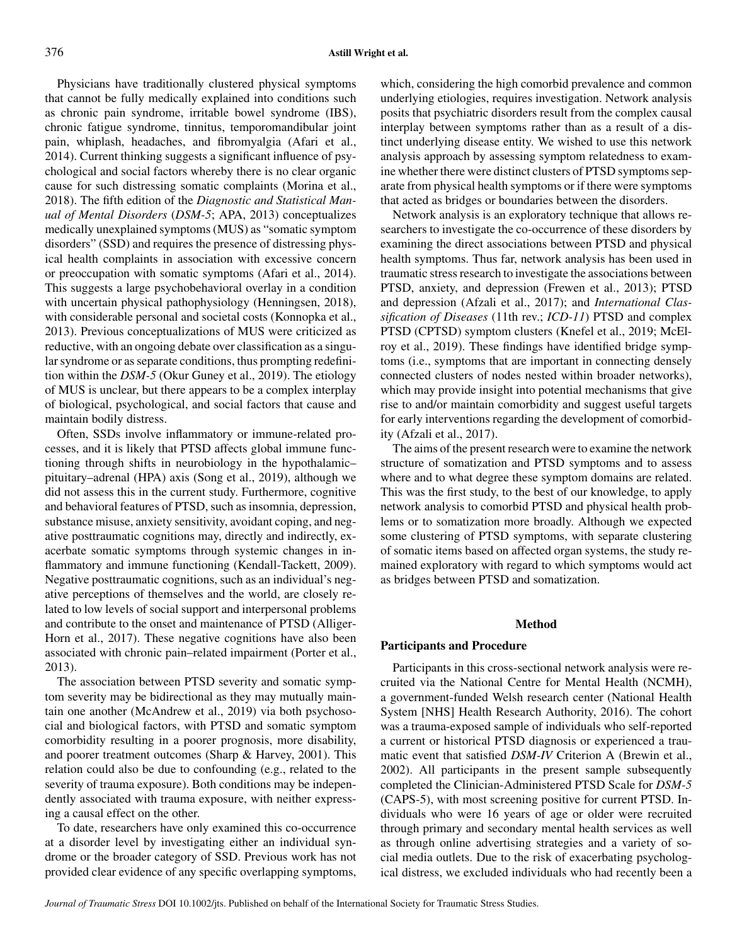Physicians have traditionally clustered physical symptoms that cannot be fully medically explained into conditions such as chronic pain syndrome, irritable bowel syndrome (IBS), chronic fatigue syndrome, tinnitus, temporomandibular joint pain, whiplash, headaches, and fibromyalgia (Afari et al., 2014). Current thinking suggests a significant influence of psychological and social factors whereby there is no clear organic cause for such distressing somatic complaints (Morina et al., 2018). The fifth edition of the *Diagnostic and Statistical Manual of Mental Disorders* (*DSM-5*; APA, 2013) conceptualizes medically unexplained symptoms (MUS) as "somatic symptom disorders" (SSD) and requires the presence of distressing physical health complaints in association with excessive concern or preoccupation with somatic symptoms (Afari et al., 2014). This suggests a large psychobehavioral overlay in a condition with uncertain physical pathophysiology (Henningsen, 2018), with considerable personal and societal costs (Konnopka et al., 2013). Previous conceptualizations of MUS were criticized as reductive, with an ongoing debate over classification as a singular syndrome or as separate conditions, thus prompting redefinition within the *DSM-5* (Okur Guney et al., 2019). The etiology of MUS is unclear, but there appears to be a complex interplay of biological, psychological, and social factors that cause and maintain bodily distress.

Often, SSDs involve inflammatory or immune-related processes, and it is likely that PTSD affects global immune functioning through shifts in neurobiology in the hypothalamic– pituitary–adrenal (HPA) axis (Song et al., 2019), although we did not assess this in the current study. Furthermore, cognitive and behavioral features of PTSD, such as insomnia, depression, substance misuse, anxiety sensitivity, avoidant coping, and negative posttraumatic cognitions may, directly and indirectly, exacerbate somatic symptoms through systemic changes in inflammatory and immune functioning (Kendall-Tackett, 2009). Negative posttraumatic cognitions, such as an individual's negative perceptions of themselves and the world, are closely related to low levels of social support and interpersonal problems and contribute to the onset and maintenance of PTSD (Alliger-Horn et al., 2017). These negative cognitions have also been associated with chronic pain–related impairment (Porter et al., 2013).

The association between PTSD severity and somatic symptom severity may be bidirectional as they may mutually maintain one another (McAndrew et al., 2019) via both psychosocial and biological factors, with PTSD and somatic symptom comorbidity resulting in a poorer prognosis, more disability, and poorer treatment outcomes (Sharp & Harvey, 2001). This relation could also be due to confounding (e.g., related to the severity of trauma exposure). Both conditions may be independently associated with trauma exposure, with neither expressing a causal effect on the other.

To date, researchers have only examined this co-occurrence at a disorder level by investigating either an individual syndrome or the broader category of SSD. Previous work has not provided clear evidence of any specific overlapping symptoms,

which, considering the high comorbid prevalence and common underlying etiologies, requires investigation. Network analysis posits that psychiatric disorders result from the complex causal interplay between symptoms rather than as a result of a distinct underlying disease entity. We wished to use this network analysis approach by assessing symptom relatedness to examine whether there were distinct clusters of PTSD symptoms separate from physical health symptoms or if there were symptoms that acted as bridges or boundaries between the disorders.

Network analysis is an exploratory technique that allows researchers to investigate the co-occurrence of these disorders by examining the direct associations between PTSD and physical health symptoms. Thus far, network analysis has been used in traumatic stress research to investigate the associations between PTSD, anxiety, and depression (Frewen et al., 2013); PTSD and depression (Afzali et al., 2017); and *International Classification of Diseases* (11th rev.; *ICD-11*) PTSD and complex PTSD (CPTSD) symptom clusters (Knefel et al., 2019; McElroy et al., 2019). These findings have identified bridge symptoms (i.e., symptoms that are important in connecting densely connected clusters of nodes nested within broader networks), which may provide insight into potential mechanisms that give rise to and/or maintain comorbidity and suggest useful targets for early interventions regarding the development of comorbidity (Afzali et al., 2017).

The aims of the present research were to examine the network structure of somatization and PTSD symptoms and to assess where and to what degree these symptom domains are related. This was the first study, to the best of our knowledge, to apply network analysis to comorbid PTSD and physical health problems or to somatization more broadly. Although we expected some clustering of PTSD symptoms, with separate clustering of somatic items based on affected organ systems, the study remained exploratory with regard to which symptoms would act as bridges between PTSD and somatization.

## **Method**

## **Participants and Procedure**

Participants in this cross-sectional network analysis were recruited via the National Centre for Mental Health (NCMH), a government-funded Welsh research center (National Health System [NHS] Health Research Authority, 2016). The cohort was a trauma-exposed sample of individuals who self-reported a current or historical PTSD diagnosis or experienced a traumatic event that satisfied *DSM-IV* Criterion A (Brewin et al., 2002). All participants in the present sample subsequently completed the Clinician-Administered PTSD Scale for *DSM-5* (CAPS-5), with most screening positive for current PTSD. Individuals who were 16 years of age or older were recruited through primary and secondary mental health services as well as through online advertising strategies and a variety of social media outlets. Due to the risk of exacerbating psychological distress, we excluded individuals who had recently been a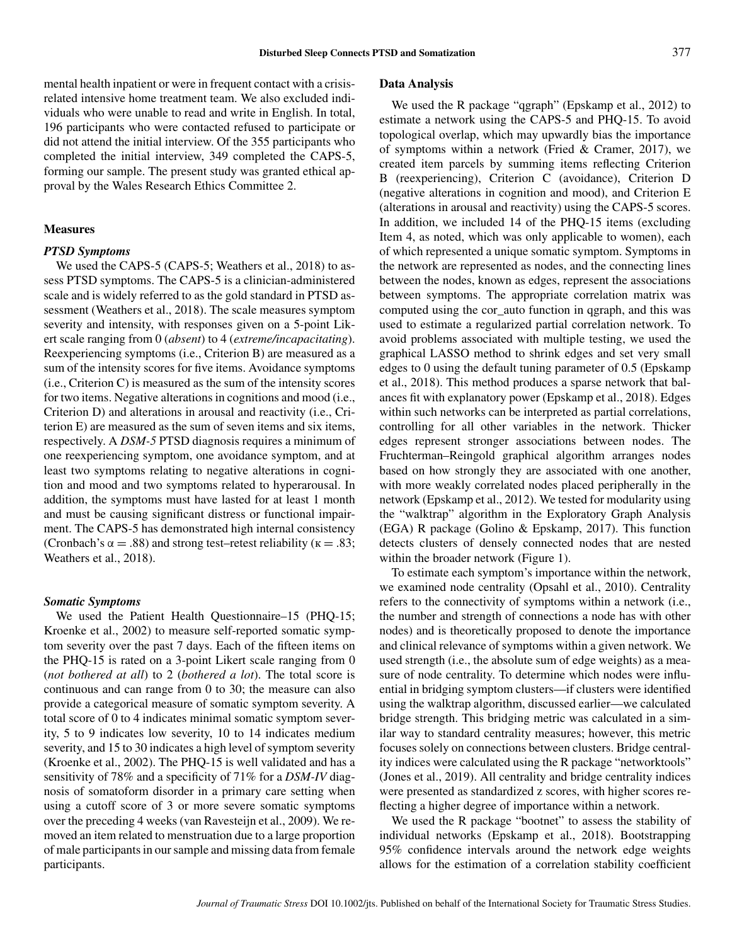mental health inpatient or were in frequent contact with a crisisrelated intensive home treatment team. We also excluded individuals who were unable to read and write in English. In total, 196 participants who were contacted refused to participate or did not attend the initial interview. Of the 355 participants who completed the initial interview, 349 completed the CAPS-5, forming our sample. The present study was granted ethical approval by the Wales Research Ethics Committee 2.

# **Measures**

## *PTSD Symptoms*

We used the CAPS-5 (CAPS-5; Weathers et al., 2018) to assess PTSD symptoms. The CAPS-5 is a clinician-administered scale and is widely referred to as the gold standard in PTSD assessment (Weathers et al., 2018). The scale measures symptom severity and intensity, with responses given on a 5-point Likert scale ranging from 0 (*absent*) to 4 (*extreme/incapacitating*). Reexperiencing symptoms (i.e., Criterion B) are measured as a sum of the intensity scores for five items. Avoidance symptoms (i.e., Criterion C) is measured as the sum of the intensity scores for two items. Negative alterations in cognitions and mood (i.e., Criterion D) and alterations in arousal and reactivity (i.e., Criterion E) are measured as the sum of seven items and six items, respectively. A *DSM-5* PTSD diagnosis requires a minimum of one reexperiencing symptom, one avoidance symptom, and at least two symptoms relating to negative alterations in cognition and mood and two symptoms related to hyperarousal. In addition, the symptoms must have lasted for at least 1 month and must be causing significant distress or functional impairment. The CAPS-5 has demonstrated high internal consistency (Cronbach's  $\alpha = .88$ ) and strong test–retest reliability ( $\kappa = .83$ ; Weathers et al., 2018).

## *Somatic Symptoms*

We used the Patient Health Questionnaire–15 (PHQ-15; Kroenke et al., 2002) to measure self-reported somatic symptom severity over the past 7 days. Each of the fifteen items on the PHQ-15 is rated on a 3-point Likert scale ranging from 0 (*not bothered at all*) to 2 (*bothered a lot*). The total score is continuous and can range from 0 to 30; the measure can also provide a categorical measure of somatic symptom severity. A total score of 0 to 4 indicates minimal somatic symptom severity, 5 to 9 indicates low severity, 10 to 14 indicates medium severity, and 15 to 30 indicates a high level of symptom severity (Kroenke et al., 2002). The PHQ-15 is well validated and has a sensitivity of 78% and a specificity of 71% for a *DSM-IV* diagnosis of somatoform disorder in a primary care setting when using a cutoff score of 3 or more severe somatic symptoms over the preceding 4 weeks (van Ravesteijn et al., 2009). We removed an item related to menstruation due to a large proportion of male participants in our sample and missing data from female participants.

## **Data Analysis**

We used the R package "qgraph" (Epskamp et al., 2012) to estimate a network using the CAPS-5 and PHQ-15. To avoid topological overlap, which may upwardly bias the importance of symptoms within a network (Fried & Cramer, 2017), we created item parcels by summing items reflecting Criterion B (reexperiencing), Criterion C (avoidance), Criterion D (negative alterations in cognition and mood), and Criterion E (alterations in arousal and reactivity) using the CAPS-5 scores. In addition, we included 14 of the PHQ-15 items (excluding Item 4, as noted, which was only applicable to women), each of which represented a unique somatic symptom. Symptoms in the network are represented as nodes, and the connecting lines between the nodes, known as edges, represent the associations between symptoms. The appropriate correlation matrix was computed using the cor\_auto function in qgraph, and this was used to estimate a regularized partial correlation network. To avoid problems associated with multiple testing, we used the graphical LASSO method to shrink edges and set very small edges to 0 using the default tuning parameter of 0.5 (Epskamp et al., 2018). This method produces a sparse network that balances fit with explanatory power (Epskamp et al., 2018). Edges within such networks can be interpreted as partial correlations, controlling for all other variables in the network. Thicker edges represent stronger associations between nodes. The Fruchterman–Reingold graphical algorithm arranges nodes based on how strongly they are associated with one another, with more weakly correlated nodes placed peripherally in the network (Epskamp et al., 2012). We tested for modularity using the "walktrap" algorithm in the Exploratory Graph Analysis (EGA) R package (Golino & Epskamp, 2017). This function detects clusters of densely connected nodes that are nested within the broader network (Figure 1).

To estimate each symptom's importance within the network, we examined node centrality (Opsahl et al., 2010). Centrality refers to the connectivity of symptoms within a network (i.e., the number and strength of connections a node has with other nodes) and is theoretically proposed to denote the importance and clinical relevance of symptoms within a given network. We used strength (i.e., the absolute sum of edge weights) as a measure of node centrality. To determine which nodes were influential in bridging symptom clusters—if clusters were identified using the walktrap algorithm, discussed earlier—we calculated bridge strength. This bridging metric was calculated in a similar way to standard centrality measures; however, this metric focuses solely on connections between clusters. Bridge centrality indices were calculated using the R package "networktools" (Jones et al., 2019). All centrality and bridge centrality indices were presented as standardized z scores, with higher scores reflecting a higher degree of importance within a network.

We used the R package "bootnet" to assess the stability of individual networks (Epskamp et al., 2018). Bootstrapping 95% confidence intervals around the network edge weights allows for the estimation of a correlation stability coefficient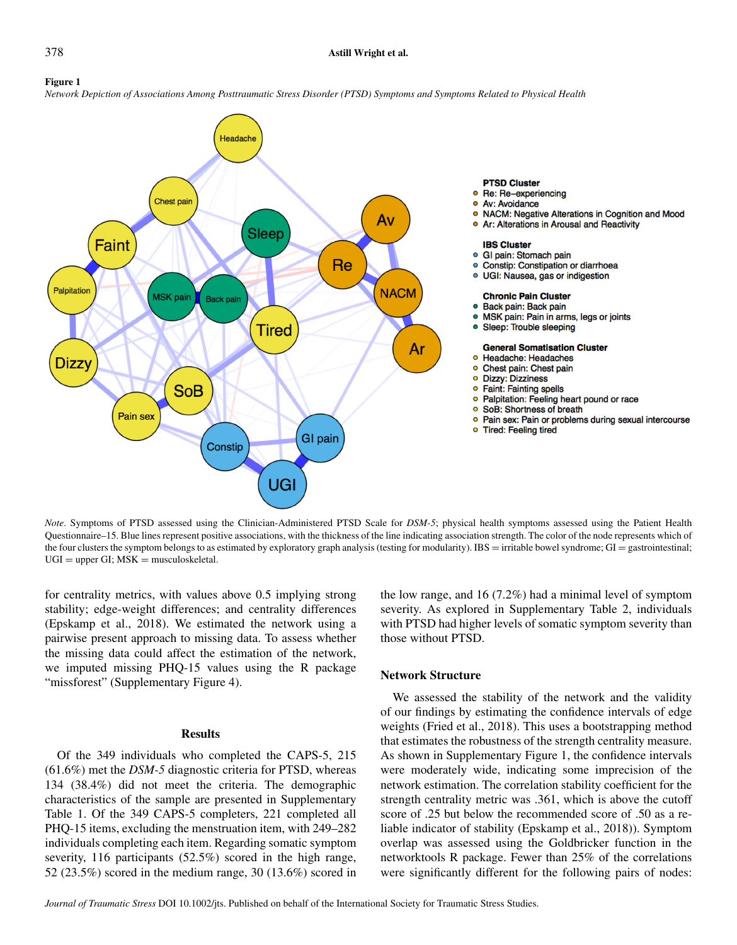## **Figure 1**

*Network Depiction of Associations Among Posttraumatic Stress Disorder (PTSD) Symptoms and Symptoms Related to Physical Health*



*Note*. Symptoms of PTSD assessed using the Clinician-Administered PTSD Scale for *DSM-5*; physical health symptoms assessed using the Patient Health Questionnaire–15. Blue lines represent positive associations, with the thickness of the line indicating association strength. The color of the node represents which of the four clusters the symptom belongs to as estimated by exploratory graph analysis (testing for modularity). IBS = irritable bowel syndrome; GI = gastrointestinal;  $UGI = upper GI; MSK = musculoskeletal.$ 

for centrality metrics, with values above 0.5 implying strong stability; edge-weight differences; and centrality differences (Epskamp et al., 2018). We estimated the network using a pairwise present approach to missing data. To assess whether the missing data could affect the estimation of the network, we imputed missing PHQ-15 values using the R package "missforest" (Supplementary Figure 4).

# **Results**

Of the 349 individuals who completed the CAPS-5, 215 (61.6%) met the *DSM-5* diagnostic criteria for PTSD, whereas 134 (38.4%) did not meet the criteria. The demographic characteristics of the sample are presented in Supplementary Table 1. Of the 349 CAPS-5 completers, 221 completed all PHQ-15 items, excluding the menstruation item, with 249–282 individuals completing each item. Regarding somatic symptom severity, 116 participants (52.5%) scored in the high range, 52 (23.5%) scored in the medium range, 30 (13.6%) scored in

the low range, and 16 (7.2%) had a minimal level of symptom severity. As explored in Supplementary Table 2, individuals with PTSD had higher levels of somatic symptom severity than those without PTSD.

# **Network Structure**

We assessed the stability of the network and the validity of our findings by estimating the confidence intervals of edge weights (Fried et al., 2018). This uses a bootstrapping method that estimates the robustness of the strength centrality measure. As shown in Supplementary Figure 1, the confidence intervals were moderately wide, indicating some imprecision of the network estimation. The correlation stability coefficient for the strength centrality metric was .361, which is above the cutoff score of .25 but below the recommended score of .50 as a reliable indicator of stability (Epskamp et al., 2018)). Symptom overlap was assessed using the Goldbricker function in the networktools R package. Fewer than 25% of the correlations were significantly different for the following pairs of nodes: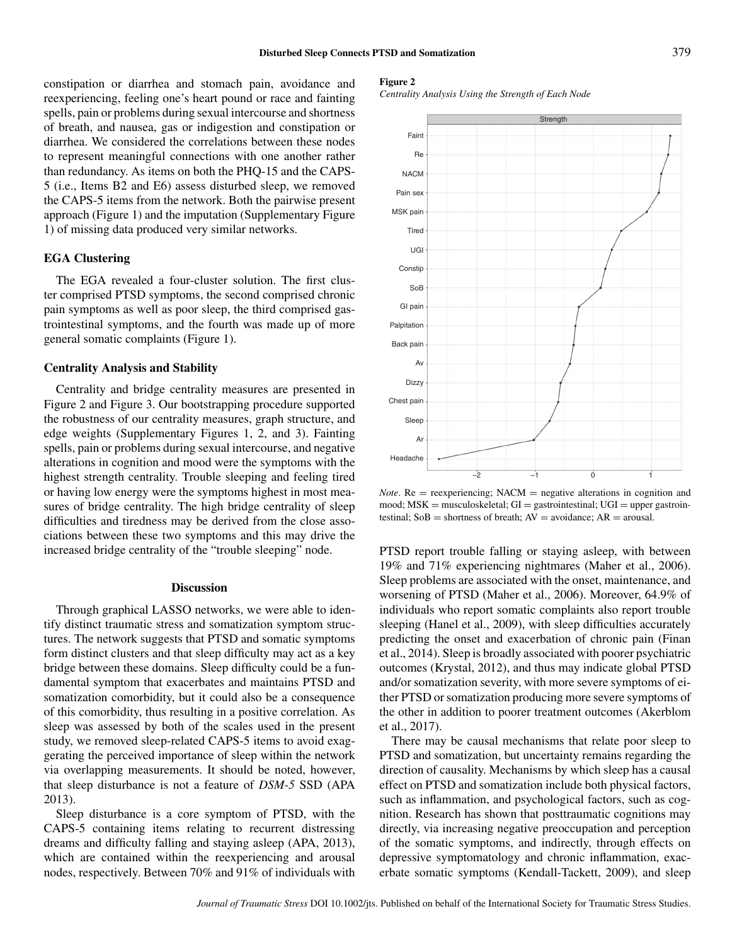constipation or diarrhea and stomach pain, avoidance and reexperiencing, feeling one's heart pound or race and fainting spells, pain or problems during sexual intercourse and shortness of breath, and nausea, gas or indigestion and constipation or diarrhea. We considered the correlations between these nodes to represent meaningful connections with one another rather than redundancy. As items on both the PHQ-15 and the CAPS-5 (i.e., Items B2 and E6) assess disturbed sleep, we removed the CAPS-5 items from the network. Both the pairwise present approach (Figure 1) and the imputation (Supplementary Figure 1) of missing data produced very similar networks.

# **EGA Clustering**

The EGA revealed a four-cluster solution. The first cluster comprised PTSD symptoms, the second comprised chronic pain symptoms as well as poor sleep, the third comprised gastrointestinal symptoms, and the fourth was made up of more general somatic complaints (Figure 1).

## **Centrality Analysis and Stability**

Centrality and bridge centrality measures are presented in Figure 2 and Figure 3. Our bootstrapping procedure supported the robustness of our centrality measures, graph structure, and edge weights (Supplementary Figures 1, 2, and 3). Fainting spells, pain or problems during sexual intercourse, and negative alterations in cognition and mood were the symptoms with the highest strength centrality. Trouble sleeping and feeling tired or having low energy were the symptoms highest in most measures of bridge centrality. The high bridge centrality of sleep difficulties and tiredness may be derived from the close associations between these two symptoms and this may drive the increased bridge centrality of the "trouble sleeping" node.

# **Discussion**

Through graphical LASSO networks, we were able to identify distinct traumatic stress and somatization symptom structures. The network suggests that PTSD and somatic symptoms form distinct clusters and that sleep difficulty may act as a key bridge between these domains. Sleep difficulty could be a fundamental symptom that exacerbates and maintains PTSD and somatization comorbidity, but it could also be a consequence of this comorbidity, thus resulting in a positive correlation. As sleep was assessed by both of the scales used in the present study, we removed sleep-related CAPS-5 items to avoid exaggerating the perceived importance of sleep within the network via overlapping measurements. It should be noted, however, that sleep disturbance is not a feature of *DSM-5* SSD (APA 2013).

Sleep disturbance is a core symptom of PTSD, with the CAPS-5 containing items relating to recurrent distressing dreams and difficulty falling and staying asleep (APA, 2013), which are contained within the reexperiencing and arousal nodes, respectively. Between 70% and 91% of individuals with

#### **Figure 2**

*Centrality Analysis Using the Strength of Each Node*



*Note*. Re = reexperiencing;  $NACM$  = negative alterations in cognition and mood;  $MSK =$  musculoskeletal;  $GI =$  gastrointestinal;  $UGI =$  upper gastrointestinal;  $SoB =$  shortness of breath;  $AV =$  avoidance;  $AR =$  arousal.

PTSD report trouble falling or staying asleep, with between 19% and 71% experiencing nightmares (Maher et al., 2006). Sleep problems are associated with the onset, maintenance, and worsening of PTSD (Maher et al., 2006). Moreover, 64.9% of individuals who report somatic complaints also report trouble sleeping (Hanel et al., 2009), with sleep difficulties accurately predicting the onset and exacerbation of chronic pain (Finan et al., 2014). Sleep is broadly associated with poorer psychiatric outcomes (Krystal, 2012), and thus may indicate global PTSD and/or somatization severity, with more severe symptoms of either PTSD or somatization producing more severe symptoms of the other in addition to poorer treatment outcomes (Akerblom et al., 2017).

There may be causal mechanisms that relate poor sleep to PTSD and somatization, but uncertainty remains regarding the direction of causality. Mechanisms by which sleep has a causal effect on PTSD and somatization include both physical factors, such as inflammation, and psychological factors, such as cognition. Research has shown that posttraumatic cognitions may directly, via increasing negative preoccupation and perception of the somatic symptoms, and indirectly, through effects on depressive symptomatology and chronic inflammation, exacerbate somatic symptoms (Kendall-Tackett, 2009), and sleep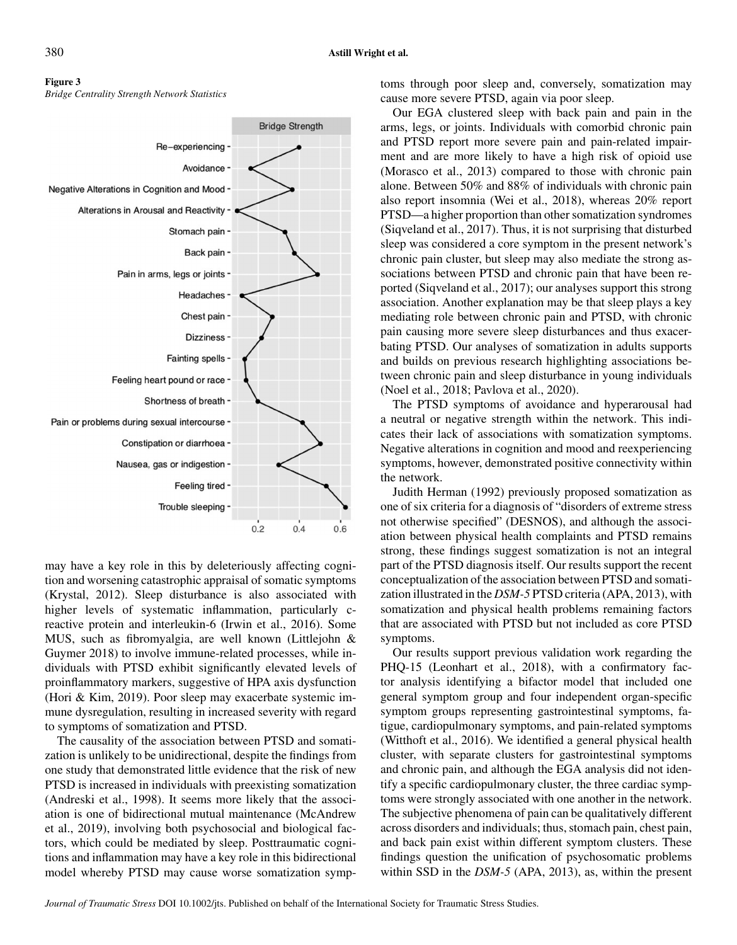#### **Figure 3**

*Bridge Centrality Strength Network Statistics*



may have a key role in this by deleteriously affecting cognition and worsening catastrophic appraisal of somatic symptoms (Krystal, 2012). Sleep disturbance is also associated with higher levels of systematic inflammation, particularly creactive protein and interleukin-6 (Irwin et al., 2016). Some MUS, such as fibromyalgia, are well known (Littlejohn & Guymer 2018) to involve immune-related processes, while individuals with PTSD exhibit significantly elevated levels of proinflammatory markers, suggestive of HPA axis dysfunction (Hori & Kim, 2019). Poor sleep may exacerbate systemic immune dysregulation, resulting in increased severity with regard to symptoms of somatization and PTSD.

The causality of the association between PTSD and somatization is unlikely to be unidirectional, despite the findings from one study that demonstrated little evidence that the risk of new PTSD is increased in individuals with preexisting somatization (Andreski et al., 1998). It seems more likely that the association is one of bidirectional mutual maintenance (McAndrew et al., 2019), involving both psychosocial and biological factors, which could be mediated by sleep. Posttraumatic cognitions and inflammation may have a key role in this bidirectional model whereby PTSD may cause worse somatization symptoms through poor sleep and, conversely, somatization may cause more severe PTSD, again via poor sleep.

Our EGA clustered sleep with back pain and pain in the arms, legs, or joints. Individuals with comorbid chronic pain and PTSD report more severe pain and pain-related impairment and are more likely to have a high risk of opioid use (Morasco et al., 2013) compared to those with chronic pain alone. Between 50% and 88% of individuals with chronic pain also report insomnia (Wei et al., 2018), whereas 20% report PTSD—a higher proportion than other somatization syndromes (Siqveland et al., 2017). Thus, it is not surprising that disturbed sleep was considered a core symptom in the present network's chronic pain cluster, but sleep may also mediate the strong associations between PTSD and chronic pain that have been reported (Siqveland et al., 2017); our analyses support this strong association. Another explanation may be that sleep plays a key mediating role between chronic pain and PTSD, with chronic pain causing more severe sleep disturbances and thus exacerbating PTSD. Our analyses of somatization in adults supports and builds on previous research highlighting associations between chronic pain and sleep disturbance in young individuals (Noel et al., 2018; Pavlova et al., 2020).

The PTSD symptoms of avoidance and hyperarousal had a neutral or negative strength within the network. This indicates their lack of associations with somatization symptoms. Negative alterations in cognition and mood and reexperiencing symptoms, however, demonstrated positive connectivity within the network.

Judith Herman (1992) previously proposed somatization as one of six criteria for a diagnosis of "disorders of extreme stress not otherwise specified" (DESNOS), and although the association between physical health complaints and PTSD remains strong, these findings suggest somatization is not an integral part of the PTSD diagnosis itself. Our results support the recent conceptualization of the association between PTSD and somatization illustrated in the *DSM-5* PTSD criteria (APA, 2013), with somatization and physical health problems remaining factors that are associated with PTSD but not included as core PTSD symptoms.

Our results support previous validation work regarding the PHQ-15 (Leonhart et al., 2018), with a confirmatory factor analysis identifying a bifactor model that included one general symptom group and four independent organ-specific symptom groups representing gastrointestinal symptoms, fatigue, cardiopulmonary symptoms, and pain-related symptoms (Witthoft et al., 2016). We identified a general physical health cluster, with separate clusters for gastrointestinal symptoms and chronic pain, and although the EGA analysis did not identify a specific cardiopulmonary cluster, the three cardiac symptoms were strongly associated with one another in the network. The subjective phenomena of pain can be qualitatively different across disorders and individuals; thus, stomach pain, chest pain, and back pain exist within different symptom clusters. These findings question the unification of psychosomatic problems within SSD in the *DSM-5* (APA, 2013), as, within the present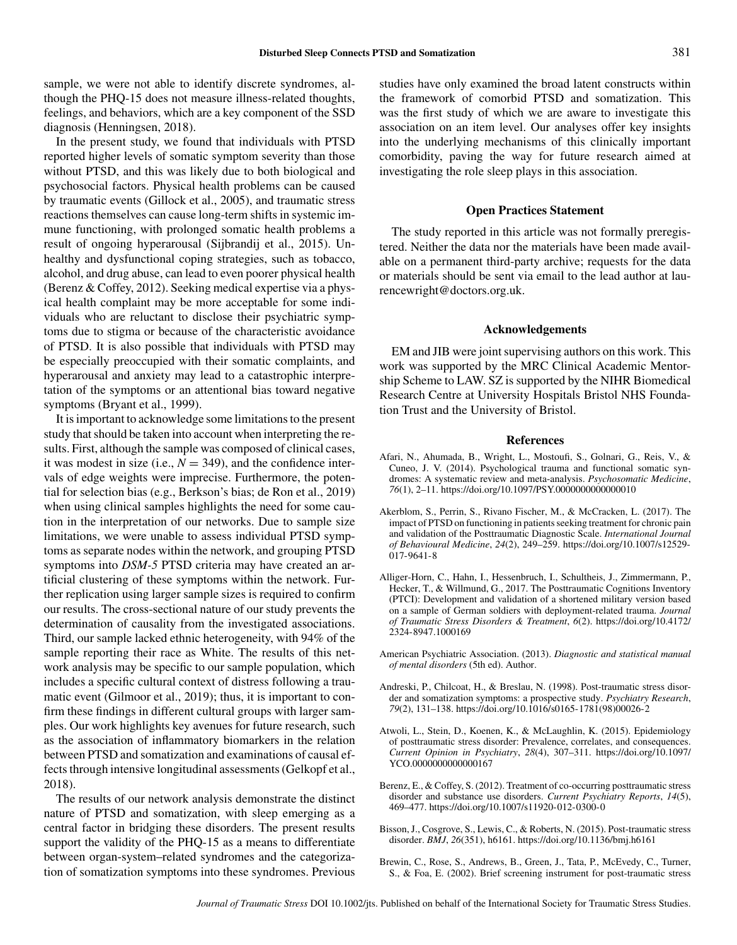sample, we were not able to identify discrete syndromes, although the PHQ-15 does not measure illness-related thoughts, feelings, and behaviors, which are a key component of the SSD diagnosis (Henningsen, 2018).

In the present study, we found that individuals with PTSD reported higher levels of somatic symptom severity than those without PTSD, and this was likely due to both biological and psychosocial factors. Physical health problems can be caused by traumatic events (Gillock et al., 2005), and traumatic stress reactions themselves can cause long-term shifts in systemic immune functioning, with prolonged somatic health problems a result of ongoing hyperarousal (Sijbrandij et al., 2015). Unhealthy and dysfunctional coping strategies, such as tobacco, alcohol, and drug abuse, can lead to even poorer physical health (Berenz & Coffey, 2012). Seeking medical expertise via a physical health complaint may be more acceptable for some individuals who are reluctant to disclose their psychiatric symptoms due to stigma or because of the characteristic avoidance of PTSD. It is also possible that individuals with PTSD may be especially preoccupied with their somatic complaints, and hyperarousal and anxiety may lead to a catastrophic interpretation of the symptoms or an attentional bias toward negative symptoms (Bryant et al., 1999).

It is important to acknowledge some limitations to the present study that should be taken into account when interpreting the results. First, although the sample was composed of clinical cases, it was modest in size (i.e.,  $N = 349$ ), and the confidence intervals of edge weights were imprecise. Furthermore, the potential for selection bias (e.g., Berkson's bias; de Ron et al., 2019) when using clinical samples highlights the need for some caution in the interpretation of our networks. Due to sample size limitations, we were unable to assess individual PTSD symptoms as separate nodes within the network, and grouping PTSD symptoms into *DSM-5* PTSD criteria may have created an artificial clustering of these symptoms within the network. Further replication using larger sample sizes is required to confirm our results. The cross-sectional nature of our study prevents the determination of causality from the investigated associations. Third, our sample lacked ethnic heterogeneity, with 94% of the sample reporting their race as White. The results of this network analysis may be specific to our sample population, which includes a specific cultural context of distress following a traumatic event (Gilmoor et al., 2019); thus, it is important to confirm these findings in different cultural groups with larger samples. Our work highlights key avenues for future research, such as the association of inflammatory biomarkers in the relation between PTSD and somatization and examinations of causal effects through intensive longitudinal assessments (Gelkopf et al., 2018).

The results of our network analysis demonstrate the distinct nature of PTSD and somatization, with sleep emerging as a central factor in bridging these disorders. The present results support the validity of the PHQ-15 as a means to differentiate between organ-system–related syndromes and the categorization of somatization symptoms into these syndromes. Previous

studies have only examined the broad latent constructs within the framework of comorbid PTSD and somatization. This was the first study of which we are aware to investigate this association on an item level. Our analyses offer key insights into the underlying mechanisms of this clinically important comorbidity, paving the way for future research aimed at investigating the role sleep plays in this association.

#### **Open Practices Statement**

The study reported in this article was not formally preregistered. Neither the data nor the materials have been made available on a permanent third-party archive; requests for the data or materials should be sent via email to the lead author at laurencewright@doctors.org.uk.

#### **Acknowledgements**

EM and JIB were joint supervising authors on this work. This work was supported by the MRC Clinical Academic Mentorship Scheme to LAW. SZ is supported by the NIHR Biomedical Research Centre at University Hospitals Bristol NHS Foundation Trust and the University of Bristol.

## **References**

- Afari, N., Ahumada, B., Wright, L., Mostoufi, S., Golnari, G., Reis, V., & Cuneo, J. V. (2014). Psychological trauma and functional somatic syndromes: A systematic review and meta-analysis. *Psychosomatic Medicine*, *76*(1), 2–11.<https://doi.org/10.1097/PSY.0000000000000010>
- Akerblom, S., Perrin, S., Rivano Fischer, M., & McCracken, L. (2017). The impact of PTSD on functioning in patients seeking treatment for chronic pain and validation of the Posttraumatic Diagnostic Scale. *International Journal of Behavioural Medicine*, *24*(2), 249–259. [https://doi.org/10.1007/s12529-](https://doi.org/10.1007/s12529-017-9641-8) [017-9641-8](https://doi.org/10.1007/s12529-017-9641-8)
- Alliger-Horn, C., Hahn, I., Hessenbruch, I., Schultheis, J., Zimmermann, P., Hecker, T., & Willmund, G., 2017. The Posttraumatic Cognitions Inventory (PTCI): Development and validation of a shortened military version based on a sample of German soldiers with deployment-related trauma. *Journal of Traumatic Stress Disorders & Treatment*, *6*(2). [https://doi.org/10.4172/](https://doi.org/10.4172/2324-8947.1000169) [2324-8947.1000169](https://doi.org/10.4172/2324-8947.1000169)
- American Psychiatric Association. (2013). *Diagnostic and statistical manual of mental disorders* (5th ed). Author.
- Andreski, P., Chilcoat, H., & Breslau, N. (1998). Post-traumatic stress disorder and somatization symptoms: a prospective study. *Psychiatry Research*, *79*(2), 131–138. [https://doi.org/10.1016/s0165-1781\(98\)00026-2](https://doi.org/10.1016/s0165-1781(98)00026-2)
- Atwoli, L., Stein, D., Koenen, K., & McLaughlin, K. (2015). Epidemiology of posttraumatic stress disorder: Prevalence, correlates, and consequences. *Current Opinion in Psychiatry*, *28*(4), 307–311. [https://doi.org/10.1097/](https://doi.org/10.1097/YCO.0000000000000167) [YCO.0000000000000167](https://doi.org/10.1097/YCO.0000000000000167)
- Berenz, E., & Coffey, S. (2012). Treatment of co-occurring posttraumatic stress disorder and substance use disorders. *Current Psychiatry Reports*, *14*(5), 469–477.<https://doi.org/10.1007/s11920-012-0300-0>
- Bisson, J., Cosgrove, S., Lewis, C., & Roberts, N. (2015). Post-traumatic stress disorder. *BMJ*, *26*(351), h6161.<https://doi.org/10.1136/bmj.h6161>
- Brewin, C., Rose, S., Andrews, B., Green, J., Tata, P., McEvedy, C., Turner, S., & Foa, E. (2002). Brief screening instrument for post-traumatic stress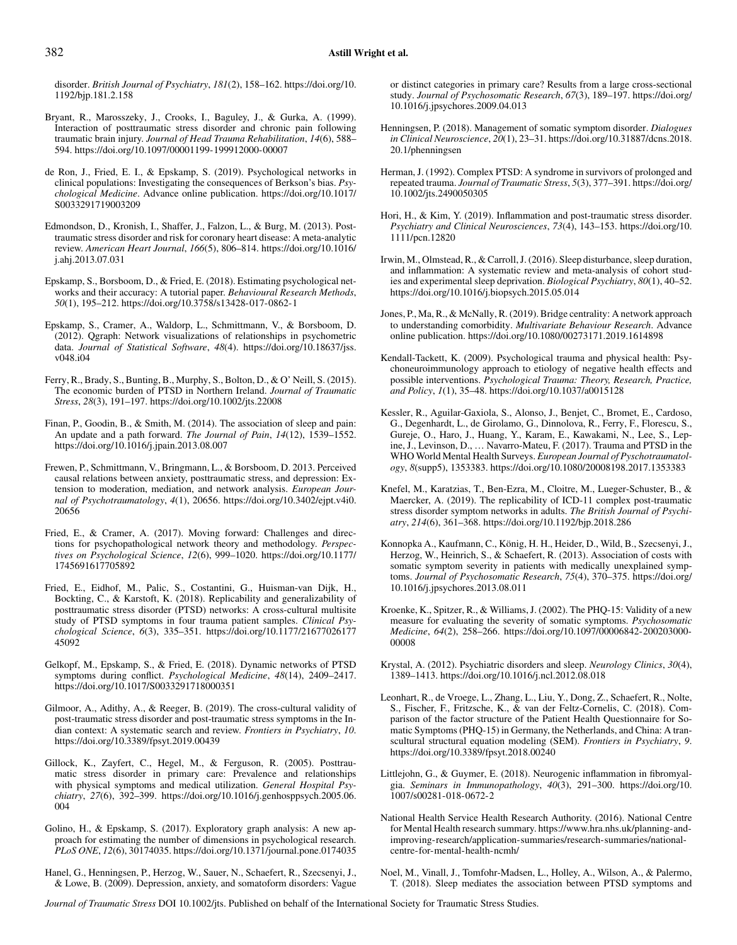disorder. *British Journal of Psychiatry*, *181*(2), 158–162. [https://doi.org/10.](https://doi.org/10.1192/bjp.181.2.158) [1192/bjp.181.2.158](https://doi.org/10.1192/bjp.181.2.158)

- Bryant, R., Marosszeky, J., Crooks, I., Baguley, J., & Gurka, A. (1999). Interaction of posttraumatic stress disorder and chronic pain following traumatic brain injury. *Journal of Head Trauma Rehabilitation*, *14*(6), 588– 594.<https://doi.org/10.1097/00001199-199912000-00007>
- de Ron, J., Fried, E. I., & Epskamp, S. (2019). Psychological networks in clinical populations: Investigating the consequences of Berkson's bias. *Psychological Medicine*. Advance online publication. [https://doi.org/10.1017/](https://doi.org/10.1017/S0033291719003209) [S0033291719003209](https://doi.org/10.1017/S0033291719003209)
- Edmondson, D., Kronish, I., Shaffer, J., Falzon, L., & Burg, M. (2013). Posttraumatic stress disorder and risk for coronary heart disease: A meta-analytic review. *American Heart Journal*, *166*(5), 806–814. [https://doi.org/10.1016/](https://doi.org/10.1016/j.ahj.2013.07.031) [j.ahj.2013.07.031](https://doi.org/10.1016/j.ahj.2013.07.031)
- Epskamp, S., Borsboom, D., & Fried, E. (2018). Estimating psychological networks and their accuracy: A tutorial paper. *Behavioural Research Methods*, *50*(1), 195–212.<https://doi.org/10.3758/s13428-017-0862-1>
- Epskamp, S., Cramer, A., Waldorp, L., Schmittmann, V., & Borsboom, D. (2012). Qgraph: Network visualizations of relationships in psychometric data. *Journal of Statistical Software*, *48*(4). [https://doi.org/10.18637/jss.](https://doi.org/10.18637/jss.v048.i04) [v048.i04](https://doi.org/10.18637/jss.v048.i04)
- Ferry, R., Brady, S., Bunting, B., Murphy, S., Bolton, D., & O' Neill, S. (2015). The economic burden of PTSD in Northern Ireland. *Journal of Traumatic Stress*, *28*(3), 191–197.<https://doi.org/10.1002/jts.22008>
- Finan, P., Goodin, B., & Smith, M. (2014). The association of sleep and pain: An update and a path forward. *The Journal of Pain*, *14*(12), 1539–1552. <https://doi.org/10.1016/j.jpain.2013.08.007>
- Frewen, P., Schmittmann, V., Bringmann, L., & Borsboom, D. 2013. Perceived causal relations between anxiety, posttraumatic stress, and depression: Extension to moderation, mediation, and network analysis. *European Journal of Psychotraumatology*, *4*(1), 20656. [https://doi.org/10.3402/ejpt.v4i0.](https://doi.org/10.3402/ejpt.v4i0.20656) [20656](https://doi.org/10.3402/ejpt.v4i0.20656)
- Fried, E., & Cramer, A. (2017). Moving forward: Challenges and directions for psychopathological network theory and methodology. *Perspectives on Psychological Science*, *12*(6), 999–1020. [https://doi.org/10.1177/](https://doi.org/10.1177/1745691617705892) [1745691617705892](https://doi.org/10.1177/1745691617705892)
- Fried, E., Eidhof, M., Palic, S., Costantini, G., Huisman-van Dijk, H., Bockting, C., & Karstoft, K. (2018). Replicability and generalizability of posttraumatic stress disorder (PTSD) networks: A cross-cultural multisite study of PTSD symptoms in four trauma patient samples. *Clinical Psychological Science*, *6*(3), 335–351. [https://doi.org/10.1177/21677026177](https://doi.org/10.1177/2167702617745092) [45092](https://doi.org/10.1177/2167702617745092)
- Gelkopf, M., Epskamp, S., & Fried, E. (2018). Dynamic networks of PTSD symptoms during conflict. *Psychological Medicine*, *48*(14), 2409–2417. <https://doi.org/10.1017/S0033291718000351>
- Gilmoor, A., Adithy, A., & Reeger, B. (2019). The cross-cultural validity of post-traumatic stress disorder and post-traumatic stress symptoms in the Indian context: A systematic search and review. *Frontiers in Psychiatry*, *10*. <https://doi.org/10.3389/fpsyt.2019.00439>
- Gillock, K., Zayfert, C., Hegel, M., & Ferguson, R. (2005). Posttraumatic stress disorder in primary care: Prevalence and relationships with physical symptoms and medical utilization. *General Hospital Psychiatry*, *27*(6), 392–399. [https://doi.org/10.1016/j.genhosppsych.2005.06.](https://doi.org/10.1016/j.genhosppsych.2005.06.004) [004](https://doi.org/10.1016/j.genhosppsych.2005.06.004)
- Golino, H., & Epskamp, S. (2017). Exploratory graph analysis: A new approach for estimating the number of dimensions in psychological research. *PLoS ONE*, *12*(6), 30174035.<https://doi.org/10.1371/journal.pone.0174035>
- Hanel, G., Henningsen, P., Herzog, W., Sauer, N., Schaefert, R., Szecsenyi, J., & Lowe, B. (2009). Depression, anxiety, and somatoform disorders: Vague

or distinct categories in primary care? Results from a large cross-sectional study. *Journal of Psychosomatic Research*, *67*(3), 189–197. [https://doi.org/](https://doi.org/10.1016/j.jpsychores.2009.04.013) [10.1016/j.jpsychores.2009.04.013](https://doi.org/10.1016/j.jpsychores.2009.04.013)

- Henningsen, P. (2018). Management of somatic symptom disorder. *Dialogues in Clinical Neuroscience*, *20*(1), 23–31. [https://doi.org/10.31887/dcns.2018.](https://doi.org/10.31887/dcns.2018.20.1/phenningsen) [20.1/phenningsen](https://doi.org/10.31887/dcns.2018.20.1/phenningsen)
- Herman, J. (1992). Complex PTSD: A syndrome in survivors of prolonged and repeated trauma. *Journal of Traumatic Stress*, *5*(3), 377–391. [https://doi.org/](https://doi.org/10.1002/jts.2490050305) [10.1002/jts.2490050305](https://doi.org/10.1002/jts.2490050305)
- Hori, H., & Kim, Y. (2019). Inflammation and post-traumatic stress disorder. *Psychiatry and Clinical Neurosciences*, *73*(4), 143–153. [https://doi.org/10.](https://doi.org/10.1111/pcn.12820) [1111/pcn.12820](https://doi.org/10.1111/pcn.12820)
- Irwin, M., Olmstead, R., & Carroll, J. (2016). Sleep disturbance, sleep duration, and inflammation: A systematic review and meta-analysis of cohort studies and experimental sleep deprivation. *Biological Psychiatry*, *80*(1), 40–52. <https://doi.org/10.1016/j.biopsych.2015.05.014>
- Jones, P., Ma, R., & McNally, R. (2019). Bridge centrality: A network approach to understanding comorbidity. *Multivariate Behaviour Research*. Advance online publication.<https://doi.org/10.1080/00273171.2019.1614898>
- Kendall-Tackett, K. (2009). Psychological trauma and physical health: Psychoneuroimmunology approach to etiology of negative health effects and possible interventions. *Psychological Trauma: Theory, Research, Practice, and Policy*, *1*(1), 35–48.<https://doi.org/10.1037/a0015128>
- Kessler, R., Aguilar-Gaxiola, S., Alonso, J., Benjet, C., Bromet, E., Cardoso, G., Degenhardt, L., de Girolamo, G., Dinnolova, R., Ferry, F., Florescu, S., Gureje, O., Haro, J., Huang, Y., Karam, E., Kawakami, N., Lee, S., Lepine, J., Levinson, D., … Navarro-Mateu, F. (2017). Trauma and PTSD in the WHO World Mental Health Surveys. *European Journal of Pyschotraumatology*, *8*(supp5), 1353383.<https://doi.org/10.1080/20008198.2017.1353383>
- Knefel, M., Karatzias, T., Ben-Ezra, M., Cloitre, M., Lueger-Schuster, B., & Maercker, A. (2019). The replicability of ICD-11 complex post-traumatic stress disorder symptom networks in adults. *The British Journal of Psychiatry*, *214*(6), 361–368.<https://doi.org/10.1192/bjp.2018.286>
- Konnopka A., Kaufmann, C., König, H. H., Heider, D., Wild, B., Szecsenyi, J., Herzog, W., Heinrich, S., & Schaefert, R. (2013). Association of costs with somatic symptom severity in patients with medically unexplained symptoms. *Journal of Psychosomatic Research*, *75*(4), 370–375. [https://doi.org/](https://doi.org/10.1016/j.jpsychores.2013.08.011) [10.1016/j.jpsychores.2013.08.011](https://doi.org/10.1016/j.jpsychores.2013.08.011)
- Kroenke, K., Spitzer, R., & Williams, J. (2002). The PHQ-15: Validity of a new measure for evaluating the severity of somatic symptoms. *Psychosomatic Medicine*, *64*(2), 258–266. [https://doi.org/10.1097/00006842-200203000-](https://doi.org/10.1097/00006842-200203000-00008) [00008](https://doi.org/10.1097/00006842-200203000-00008)
- Krystal, A. (2012). Psychiatric disorders and sleep. *Neurology Clinics*, *30*(4), 1389–1413.<https://doi.org/10.1016/j.ncl.2012.08.018>
- Leonhart, R., de Vroege, L., Zhang, L., Liu, Y., Dong, Z., Schaefert, R., Nolte, S., Fischer, F., Fritzsche, K., & van der Feltz-Cornelis, C. (2018). Comparison of the factor structure of the Patient Health Questionnaire for Somatic Symptoms (PHQ-15) in Germany, the Netherlands, and China: A transcultural structural equation modeling (SEM). *Frontiers in Psychiatry*, *9*. <https://doi.org/10.3389/fpsyt.2018.00240>
- Littlejohn, G., & Guymer, E. (2018). Neurogenic inflammation in fibromyalgia. *Seminars in Immunopathology*, *40*(3), 291–300. [https://doi.org/10.](https://doi.org/10.1007/s00281-018-0672-2) [1007/s00281-018-0672-2](https://doi.org/10.1007/s00281-018-0672-2)
- National Health Service Health Research Authority. (2016). National Centre for Mental Health research summary. [https://www.hra.nhs.uk/planning-and](https://www.hra.nhs.uk/planning-and-improving-research/application-summaries/research-summaries/national-centre-for-mental-health-ncmh/)[improving-research/application-summaries/research-summaries/national](https://www.hra.nhs.uk/planning-and-improving-research/application-summaries/research-summaries/national-centre-for-mental-health-ncmh/)[centre-for-mental-health-ncmh/](https://www.hra.nhs.uk/planning-and-improving-research/application-summaries/research-summaries/national-centre-for-mental-health-ncmh/)
- Noel, M., Vinall, J., Tomfohr-Madsen, L., Holley, A., Wilson, A., & Palermo, T. (2018). Sleep mediates the association between PTSD symptoms and

*Journal of Traumatic Stress* DOI 10.1002/jts. Published on behalf of the International Society for Traumatic Stress Studies.